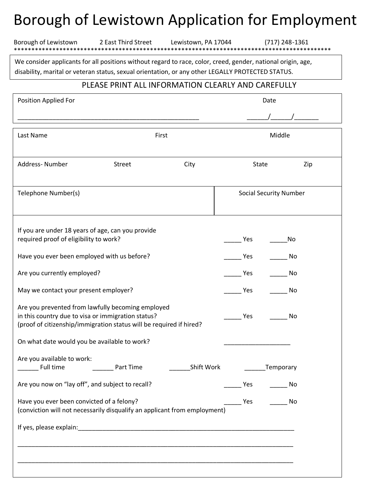## Borough of Lewistown Application for Employment

|  | prough of Lewistown Application for Employme |  |  |
|--|----------------------------------------------|--|--|
|  |                                              |  |  |

We consider applicants for all positions without regard to race, color, creed, gender, national origin, age, disability, marital or veteran status, sexual orientation, or any other LEGALLY PROTECTED STATUS.

\*\*\*\*\*\*\*\*\*\*\*\*\*\*\*\*\*\*\*\*\*\*\*\*\*\*\*\*\*\*\*\*\*\*\*\*\*\*\*\*\*\*\*\*\*\*\*\*\*\*\*\*\*\*\*\*\*\*\*\*\*\*\*\*\*\*\*\*\*\*\*\*\*\*\*\*\*\*\*\*\*\*\*\*\*\*\*\*\*\*\*

Borough of Lewistown 2 East Third Street Lewistown, PA 17044 (717) 248-1361

## PLEASE PRINT ALL INFORMATION CLEARLY AND CAREFULLY

| <b>Position Applied For</b>                                                                                                                                                    |               | Date       |       |                               |
|--------------------------------------------------------------------------------------------------------------------------------------------------------------------------------|---------------|------------|-------|-------------------------------|
|                                                                                                                                                                                |               |            |       |                               |
| Last Name                                                                                                                                                                      | First         |            |       | Middle                        |
| Address-Number                                                                                                                                                                 | <b>Street</b> | City       | State | Zip                           |
| Telephone Number(s)                                                                                                                                                            |               |            |       | <b>Social Security Number</b> |
| If you are under 18 years of age, can you provide<br>required proof of eligibility to work?                                                                                    |               |            | Yes   | No                            |
| Have you ever been employed with us before?                                                                                                                                    |               |            | Yes   | No                            |
| Are you currently employed?                                                                                                                                                    |               |            | Yes   | No                            |
| May we contact your present employer?                                                                                                                                          |               |            | Yes   | No                            |
| Are you prevented from lawfully becoming employed<br>in this country due to visa or immigration status?<br>(proof of citizenship/immigration status will be required if hired? |               |            | Yes   | No                            |
| On what date would you be available to work?                                                                                                                                   |               |            |       |                               |
| Are you available to work:<br>Full time                                                                                                                                        | Part Time     | Shift Work |       | Temporary                     |
| Are you now on "lay off", and subject to recall?                                                                                                                               |               |            | Yes   | No                            |
| Have you ever been convicted of a felony?<br>(conviction will not necessarily disqualify an applicant from employment)                                                         |               |            | Yes   | No                            |
|                                                                                                                                                                                |               |            |       |                               |
|                                                                                                                                                                                |               |            |       |                               |
|                                                                                                                                                                                |               |            |       |                               |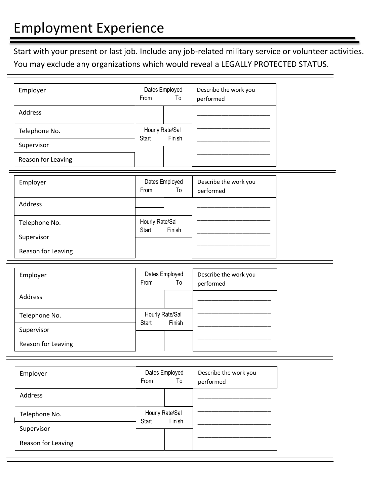Start with your present or last job. Include any job-related military service or volunteer activities. You may exclude any organizations which would reveal a LEGALLY PROTECTED STATUS.

| Employer           | Dates Employed<br><b>From</b><br>To |  | Describe the work you<br>performed |
|--------------------|-------------------------------------|--|------------------------------------|
| Address            |                                     |  |                                    |
| Telephone No.      | Hourly Rate/Sal<br>Finish<br>Start  |  |                                    |
| Supervisor         |                                     |  |                                    |
| Reason for Leaving |                                     |  |                                    |

| Employer           | Dates Employed<br><b>From</b><br>To |  | Describe the work you<br>performed |
|--------------------|-------------------------------------|--|------------------------------------|
| Address            |                                     |  |                                    |
| Telephone No.      | Hourly Rate/Sal<br>Finish<br>Start  |  |                                    |
| Supervisor         |                                     |  |                                    |
| Reason for Leaving |                                     |  |                                    |

| Employer           | Dates Employed<br>To<br>From       |  | Describe the work you<br>performed |
|--------------------|------------------------------------|--|------------------------------------|
| Address            |                                    |  |                                    |
| Telephone No.      | Hourly Rate/Sal<br>Finish<br>Start |  |                                    |
| Supervisor         |                                    |  |                                    |
| Reason for Leaving |                                    |  |                                    |

| Employer           | Dates Employed<br>To<br>From       |  | Describe the work you<br>performed |
|--------------------|------------------------------------|--|------------------------------------|
| Address            |                                    |  |                                    |
| Telephone No.      | Hourly Rate/Sal<br>Finish<br>Start |  |                                    |
| Supervisor         |                                    |  |                                    |
| Reason for Leaving |                                    |  |                                    |

F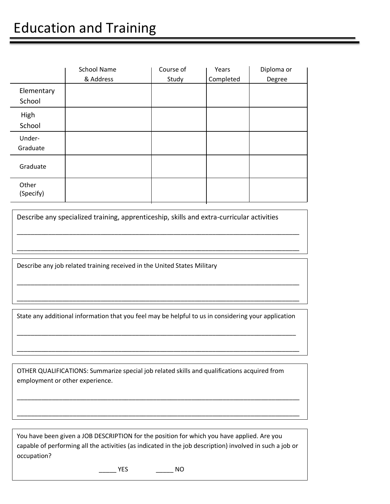|                    | <b>School Name</b> | Course of | Years     | Diploma or |
|--------------------|--------------------|-----------|-----------|------------|
|                    | & Address          | Study     | Completed | Degree     |
| Elementary         |                    |           |           |            |
| School             |                    |           |           |            |
| High               |                    |           |           |            |
| School             |                    |           |           |            |
| Under-             |                    |           |           |            |
| Graduate           |                    |           |           |            |
| Graduate           |                    |           |           |            |
| Other<br>(Specify) |                    |           |           |            |

Describe any specialized training, apprenticeship, skills and extra-curricular activities

\_\_\_\_\_\_\_\_\_\_\_\_\_\_\_\_\_\_\_\_\_\_\_\_\_\_\_\_\_\_\_\_\_\_\_\_\_\_\_\_\_\_\_\_\_\_\_\_\_\_\_\_\_\_\_\_\_\_\_\_\_\_\_\_\_\_\_\_\_\_\_\_\_\_\_\_\_\_\_\_\_

\_\_\_\_\_\_\_\_\_\_\_\_\_\_\_\_\_\_\_\_\_\_\_\_\_\_\_\_\_\_\_\_\_\_\_\_\_\_\_\_\_\_\_\_\_\_\_\_\_\_\_\_\_\_\_\_\_\_\_\_\_\_\_\_\_\_\_\_\_\_\_\_\_\_\_\_\_\_\_\_\_

\_\_\_\_\_\_\_\_\_\_\_\_\_\_\_\_\_\_\_\_\_\_\_\_\_\_\_\_\_\_\_\_\_\_\_\_\_\_\_\_\_\_\_\_\_\_\_\_\_\_\_\_\_\_\_\_\_\_\_\_\_\_\_\_\_\_\_\_\_\_\_\_\_\_\_\_\_\_\_\_\_

\_\_\_\_\_\_\_\_\_\_\_\_\_\_\_\_\_\_\_\_\_\_\_\_\_\_\_\_\_\_\_\_\_\_\_\_\_\_\_\_\_\_\_\_\_\_\_\_\_\_\_\_\_\_\_\_\_\_\_\_\_\_\_\_\_\_\_\_\_\_\_\_\_\_\_\_\_\_\_\_\_

Describe any job related training received in the United States Military

State any additional information that you feel may be helpful to us in considering your application

\_\_\_\_\_\_\_\_\_\_\_\_\_\_\_\_\_\_\_\_\_\_\_\_\_\_\_\_\_\_\_\_\_\_\_\_\_\_\_\_\_\_\_\_\_\_\_\_\_\_\_\_\_\_\_\_\_\_\_\_\_\_\_\_\_\_\_\_\_\_\_\_\_\_\_\_\_\_\_\_

\_\_\_\_\_\_\_\_\_\_\_\_\_\_\_\_\_\_\_\_\_\_\_\_\_\_\_\_\_\_\_\_\_\_\_\_\_\_\_\_\_\_\_\_\_\_\_\_\_\_\_\_\_\_\_\_\_\_\_\_\_\_\_\_\_\_\_\_\_\_\_\_\_\_\_\_\_\_\_\_\_

\_\_\_\_\_\_\_\_\_\_\_\_\_\_\_\_\_\_\_\_\_\_\_\_\_\_\_\_\_\_\_\_\_\_\_\_\_\_\_\_\_\_\_\_\_\_\_\_\_\_\_\_\_\_\_\_\_\_\_\_\_\_\_\_\_\_\_\_\_\_\_\_\_\_\_\_\_\_\_\_\_

\_\_\_\_\_\_\_\_\_\_\_\_\_\_\_\_\_\_\_\_\_\_\_\_\_\_\_\_\_\_\_\_\_\_\_\_\_\_\_\_\_\_\_\_\_\_\_\_\_\_\_\_\_\_\_\_\_\_\_\_\_\_\_\_\_\_\_\_\_\_\_\_\_\_\_\_\_\_\_\_\_

OTHER QUALIFICATIONS: Summarize special job related skills and qualifications acquired from employment or other experience.

You have been given a JOB DESCRIPTION for the position for which you have applied. Are you capable of performing all the activities (as indicated in the job description) involved in such a job or occupation?

\_\_\_\_\_ YES \_\_\_\_\_ NO